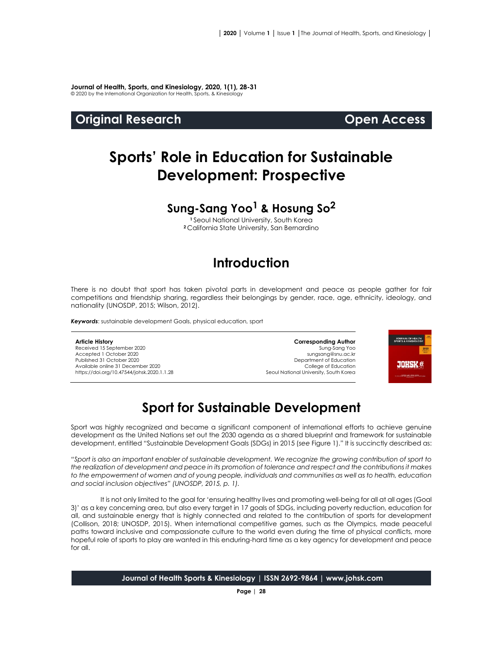**Journal of Health, Sports, and Kinesiology, 2020, 1(1), 28-31** © 2020 by the International Organization for Health, Sports, & Kinesiology

### **Original Research Open Access**

# **Sports' Role in Education for Sustainable Development: Prospective**

# **Sung-Sang Yoo<sup>1</sup> & Hosung So<sup>2</sup>**

**<sup>1</sup>** Seoul National University, South Korea **<sup>2</sup>** California State University, San Bernardino

# **Introduction**

There is no doubt that sport has taken pivotal parts in development and peace as people gather for fair competitions and friendship sharing, regardless their belongings by gender, race, age, ethnicity, ideology, and nationality (UNOSDP, 2015; Wilson, 2012).

*Keywords*: sustainable development Goals, physical education, sport

#### **Article History**

Received 15 September 2020 Accepted 1 October 2020 Published 31 October 2020 Available online 31 December 2020 [https://doi.org/10.47544/johsk.2020.1.1.2](https://doi.org/10.47544/johsk.2020.1.1.9)8

**Corresponding Author** Sung-Sang Yoo sungsang@snu.ac.kr Department of Education College of Education Seoul National University, South Korea



# **Sport for Sustainable Development**

Sport was highly recognized and became a significant component of international efforts to achieve genuine development as the United Nations set out the 2030 agenda as a shared blueprint and framework for sustainable development, entitled "Sustainable Development Goals (SDGs) in 2015 (*see* Figure 1)." It is succinctly described as:

*"Sport is also an important enabler of sustainable development. We recognize the growing contribution of sport to the realization of development and peace in its promotion of tolerance and respect and the contributions it makes to the empowerment of women and of young people, individuals and communities as well as to health, education and social inclusion objectives" (UNOSDP, 2015, p. 1).*

It is not only limited to the goal for 'ensuring healthy lives and promoting well-being for all at all ages (Goal 3)' as a key concerning area, but also every target in 17 goals of SDGs, including poverty reduction, education for all, and sustainable energy that is highly connected and related to the contribution of sports for development (Collison, 2018; UNOSDP, 2015). When international competitive games, such as the Olympics, made peaceful paths toward inclusive and compassionate culture to the world even during the time of physical conflicts, more hopeful role of sports to play are wanted in this enduring-hard time as a key agency for development and peace for all.

**Journal of Health Sports & Kinesiology | ISSN 2692-9864 | www.johsk.com**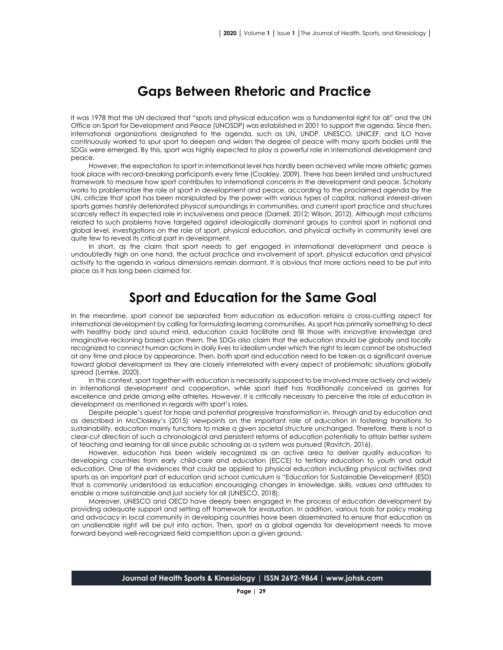# **Gaps Between Rhetoric and Practice**

It was 1978 that the UN declared that "spots and physical education was a fundamental right for all" and the UN Office on Sport for Development and Peace (UNOSDP) was established in 2001 to support the agenda. Since then, international organizations designated to the agenda, such as UN, UNDP, UNESCO, UNICEF, and ILO have continuously worked to spur sport to deepen and widen the degree of peace with many sports bodies until the SDGs were emerged. By this, sport was highly expected to play a powerful role in international development and peace.

However, the expectation to sport in international level has hardly been achieved while more athletic games took place with record-breaking participants every time (Coakley, 2009). There has been limited and unstructured framework to measure how sport contributes to international concerns in the development and peace. Scholarly works to problematize the role of sport in development and peace, according to the proclaimed agenda by the UN, criticize that sport has been manipulated by the power with various types of capital, national interest-driven sports games harshly deteriorated physical surroundings in communities, and current sport practice and structures scarcely reflect its expected role in inclusiveness and peace (Darnell, 2012; Wilson, 2012). Although most criticisms related to such problems have targeted against ideologically dominant groups to control sport in national and global level, investigations on the role of sport, physical education, and physical activity in community level are quite few to reveal its critical part in development.

In short, as the claim that sport needs to get engaged in international development and peace is undoubtedly high on one hand, the actual practice and involvement of sport, physical education and physical activity to the agenda in various dimensions remain dormant. It is obvious that more actions need to be put into place as it has long been claimed for.

### **Sport and Education for the Same Goal**

In the meantime, sport cannot be separated from education as education retains a cross-cutting aspect for international development by calling for formulating learning communities. As sport has primarily something to deal with healthy body and sound mind, education could facilitate and fill those with innovative knowledge and imaginative reckoning based upon them. The SDGs also claim that the education should be globally and locally recognized to connect human actions in daily lives to idealism under which the right to learn cannot be obstructed at any time and place by appearance. Then, both sport and education need to be taken as a significant avenue toward global development as they are closely interrelated with every aspect of problematic situations globally spread (Lemke, 2020).

In this context, sport together with education is necessarily supposed to be involved more actively and widely in international development and cooperation, while sport itself has traditionally conceived as games for excellence and pride among elite athletes. However, it is critically necessary to perceive the role of education in development as mentioned in regards with sport's roles.

Despite people's quest for hope and potential progressive transformation in, through and by education and as described in McCloskey's (2015) viewpoints on the important role of education in fostering transitions to sustainability, education mainly functions to make a given societal structure unchanged. Therefore, there is not a clear-cut direction of such a chronological and persistent reforms of education potentially to attain better system of teaching and learning for all since public schooling as a system was pursued (Ravitch, 2016).

However, education has been widely recognized as an active area to deliver quality education to developing countries from early child-care and education (ECCE) to tertiary education to youth and adult education. One of the evidences that could be applied to physical education including physical activities and sports as an important part of education and school curriculum is "Education for Sustainable Development (ESD) that is commonly understood as education encouraging changes in knowledge, skills, values and attitudes to enable a more sustainable and just society for all (UNESCO, 2018).

Moreover, UNESCO and OECD have deeply been engaged in the process of education development by providing adequate support and setting off framework for evaluation. In addition, various tools for policy making and advocacy in local community in developing countries have been disseminated to ensure that education as an unalienable right will be put into action. Then, sport as a global agenda for development needs to move forward beyond well-recognized field competition upon a given ground.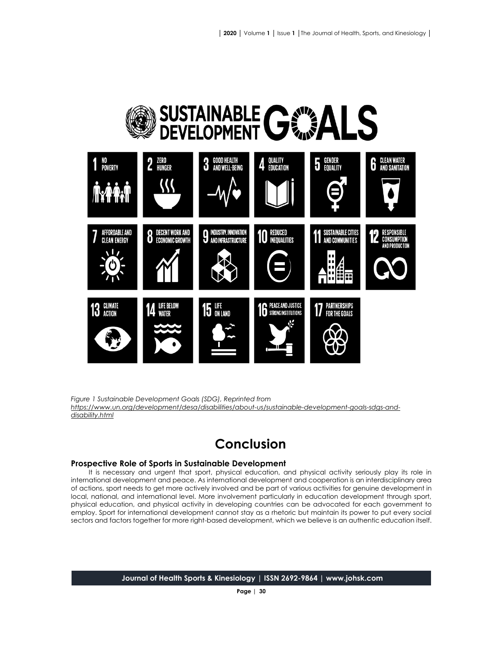

*Figure 1 Sustainable Development Goals (SDG), Reprinted from [https://www.un.org/development/desa/disabilities/about-us/sustainable-development-goals-sdgs-and](https://www.un.org/development/desa/disabilities/about-us/sustainable-development-goals-sdgs-and-disability.html)[disability.html](https://www.un.org/development/desa/disabilities/about-us/sustainable-development-goals-sdgs-and-disability.html)*

# **Conclusion**

#### **Prospective Role of Sports in Sustainable Development**

It is necessary and urgent that sport, physical education, and physical activity seriously play its role in international development and peace. As international development and cooperation is an interdisciplinary area of actions, sport needs to get more actively involved and be part of various activities for genuine development in local, national, and international level. More involvement particularly in education development through sport, physical education, and physical activity in developing countries can be advocated for each government to employ. Sport for international development cannot stay as a rhetoric but maintain its power to put every social sectors and factors together for more right-based development, which we believe is an authentic education itself.

**Journal of Health Sports & Kinesiology | ISSN 2692-9864 | www.johsk.com**